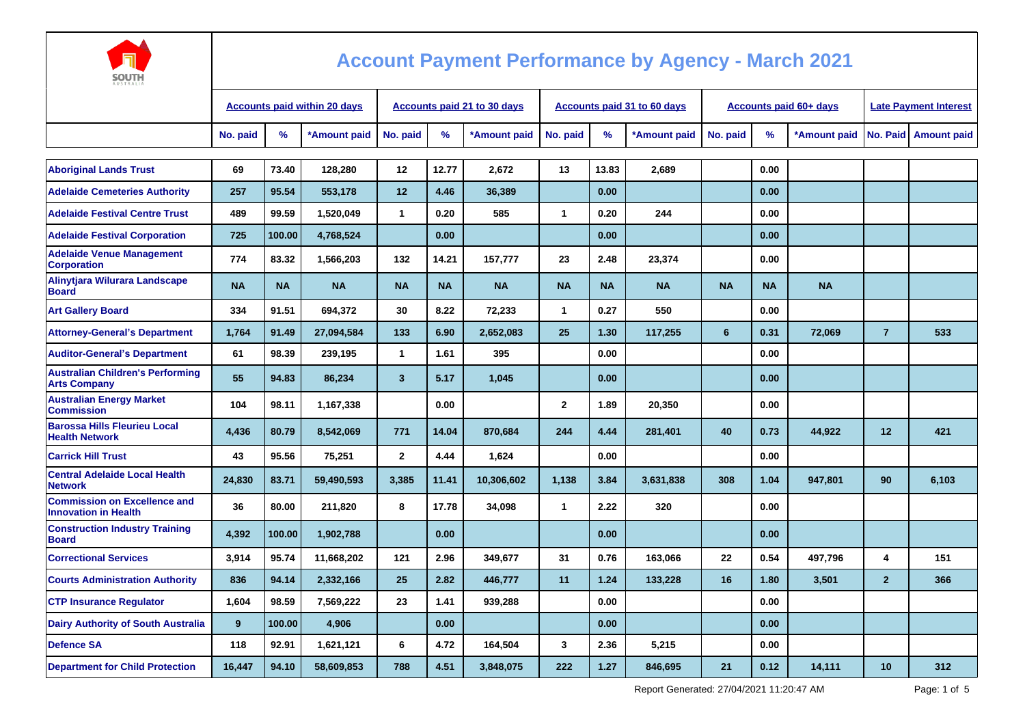

| ----<br><b>AUSTRALI</b>                                            |                                     |           |              |                                    |           |              |              |           |                                    |                               |           |              |                              |                        |
|--------------------------------------------------------------------|-------------------------------------|-----------|--------------|------------------------------------|-----------|--------------|--------------|-----------|------------------------------------|-------------------------------|-----------|--------------|------------------------------|------------------------|
|                                                                    | <b>Accounts paid within 20 days</b> |           |              | <b>Accounts paid 21 to 30 days</b> |           |              |              |           | <b>Accounts paid 31 to 60 days</b> | <b>Accounts paid 60+ days</b> |           |              | <b>Late Payment Interest</b> |                        |
|                                                                    | No. paid                            | %         | *Amount paid | No. paid                           | %         | *Amount paid | No. paid     | $\%$      | *Amount paid                       | No. paid                      | $\%$      | *Amount paid |                              | No. Paid   Amount paid |
|                                                                    |                                     |           |              |                                    |           |              |              |           |                                    |                               |           |              |                              |                        |
| <b>Aboriginal Lands Trust</b>                                      | 69                                  | 73.40     | 128.280      | 12                                 | 12.77     | 2,672        | 13           | 13.83     | 2,689                              |                               | 0.00      |              |                              |                        |
| <b>Adelaide Cemeteries Authority</b>                               | 257                                 | 95.54     | 553,178      | 12                                 | 4.46      | 36,389       |              | 0.00      |                                    |                               | 0.00      |              |                              |                        |
| <b>Adelaide Festival Centre Trust</b>                              | 489                                 | 99.59     | 1,520,049    | $\mathbf{1}$                       | 0.20      | 585          | $\mathbf{1}$ | 0.20      | 244                                |                               | 0.00      |              |                              |                        |
| <b>Adelaide Festival Corporation</b>                               | 725                                 | 100.00    | 4,768,524    |                                    | 0.00      |              |              | 0.00      |                                    |                               | 0.00      |              |                              |                        |
| <b>Adelaide Venue Management</b><br><b>Corporation</b>             | 774                                 | 83.32     | 1,566,203    | 132                                | 14.21     | 157.777      | 23           | 2.48      | 23,374                             |                               | 0.00      |              |                              |                        |
| Alinytiara Wilurara Landscape<br><b>Board</b>                      | <b>NA</b>                           | <b>NA</b> | <b>NA</b>    | <b>NA</b>                          | <b>NA</b> | <b>NA</b>    | <b>NA</b>    | <b>NA</b> | <b>NA</b>                          | <b>NA</b>                     | <b>NA</b> | <b>NA</b>    |                              |                        |
| <b>Art Gallery Board</b>                                           | 334                                 | 91.51     | 694,372      | 30                                 | 8.22      | 72,233       | $\mathbf{1}$ | 0.27      | 550                                |                               | 0.00      |              |                              |                        |
| <b>Attorney-General's Department</b>                               | 1,764                               | 91.49     | 27,094,584   | 133                                | 6.90      | 2,652,083    | 25           | 1.30      | 117,255                            | 6                             | 0.31      | 72,069       | $\overline{7}$               | 533                    |
| <b>Auditor-General's Department</b>                                | 61                                  | 98.39     | 239,195      | 1                                  | 1.61      | 395          |              | 0.00      |                                    |                               | 0.00      |              |                              |                        |
| <b>Australian Children's Performing</b><br><b>Arts Company</b>     | 55                                  | 94.83     | 86,234       | $\mathbf{3}$                       | 5.17      | 1,045        |              | 0.00      |                                    |                               | 0.00      |              |                              |                        |
| <b>Australian Energy Market</b><br><b>Commission</b>               | 104                                 | 98.11     | 1,167,338    |                                    | 0.00      |              | $\mathbf{2}$ | 1.89      | 20,350                             |                               | 0.00      |              |                              |                        |
| <b>Barossa Hills Fleurieu Local</b><br><b>Health Network</b>       | 4,436                               | 80.79     | 8,542,069    | 771                                | 14.04     | 870,684      | 244          | 4.44      | 281,401                            | 40                            | 0.73      | 44,922       | 12                           | 421                    |
| <b>Carrick Hill Trust</b>                                          | 43                                  | 95.56     | 75,251       | $\mathbf{2}$                       | 4.44      | 1,624        |              | 0.00      |                                    |                               | 0.00      |              |                              |                        |
| <b>Central Adelaide Local Health</b><br><b>Network</b>             | 24,830                              | 83.71     | 59,490,593   | 3,385                              | 11.41     | 10,306,602   | 1,138        | 3.84      | 3,631,838                          | 308                           | 1.04      | 947,801      | 90                           | 6,103                  |
| <b>Commission on Excellence and</b><br><b>Innovation in Health</b> | 36                                  | 80.00     | 211,820      | 8                                  | 17.78     | 34,098       | $\mathbf 1$  | 2.22      | 320                                |                               | 0.00      |              |                              |                        |
| <b>Construction Industry Training</b><br><b>Board</b>              | 4,392                               | 100.00    | 1,902,788    |                                    | 0.00      |              |              | 0.00      |                                    |                               | 0.00      |              |                              |                        |
| <b>Correctional Services</b>                                       | 3,914                               | 95.74     | 11,668,202   | $121$                              | 2.96      | 349.677      | 31           | 0.76      | 163.066                            | 22                            | 0.54      | 497.796      | 4                            | 151                    |
| <b>Courts Administration Authority</b>                             | 836                                 | 94.14     | 2,332,166    | 25                                 | 2.82      | 446,777      | 11           | 1.24      | 133,228                            | 16                            | 1.80      | 3,501        | $\overline{2}$               | 366                    |
| <b>CTP Insurance Requlator</b>                                     | 1,604                               | 98.59     | 7,569,222    | 23                                 | 1.41      | 939,288      |              | 0.00      |                                    |                               | 0.00      |              |                              |                        |
| <b>Dairy Authority of South Australia</b>                          | 9                                   | 100.00    | 4,906        |                                    | 0.00      |              |              | 0.00      |                                    |                               | 0.00      |              |                              |                        |
| <b>Defence SA</b>                                                  | 118                                 | 92.91     | 1,621,121    | 6                                  | 4.72      | 164,504      | 3            | 2.36      | 5,215                              |                               | 0.00      |              |                              |                        |
| <b>Department for Child Protection</b>                             | 16,447                              | 94.10     | 58,609,853   | 788                                | 4.51      | 3,848,075    | 222          | 1.27      | 846,695                            | 21                            | 0.12      | 14,111       | 10                           | 312                    |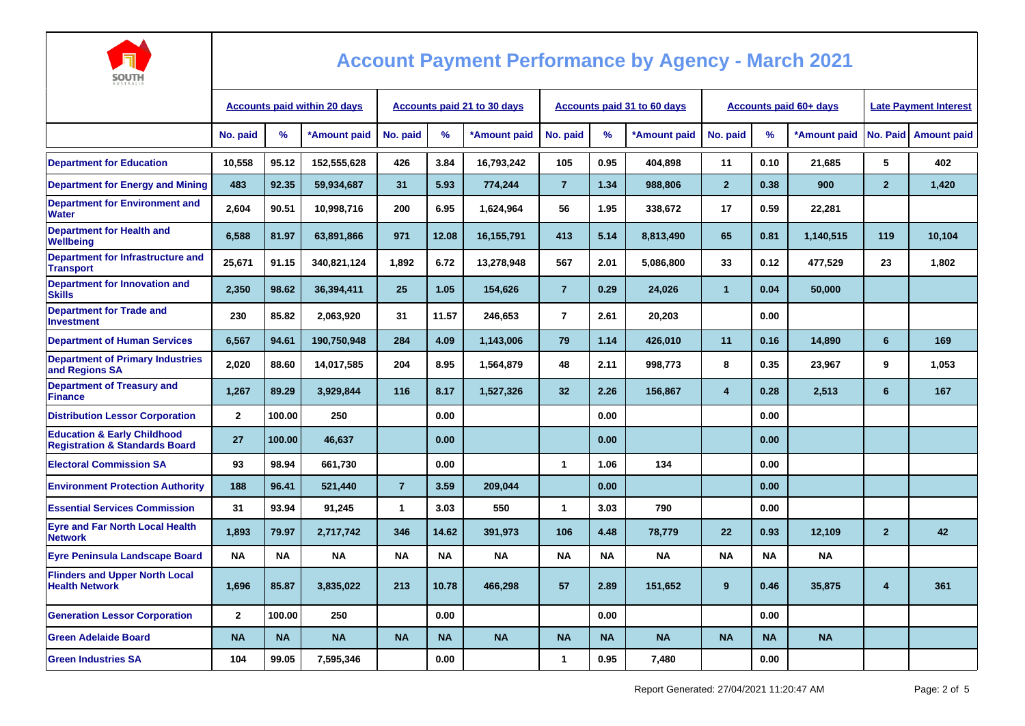

| AUSTRALIA                                                                           |                                     |           |              |                                    |           |              |                                    |           |              |                               |           |              |                              |                        |
|-------------------------------------------------------------------------------------|-------------------------------------|-----------|--------------|------------------------------------|-----------|--------------|------------------------------------|-----------|--------------|-------------------------------|-----------|--------------|------------------------------|------------------------|
|                                                                                     | <b>Accounts paid within 20 days</b> |           |              | <b>Accounts paid 21 to 30 days</b> |           |              | <b>Accounts paid 31 to 60 days</b> |           |              | <b>Accounts paid 60+ days</b> |           |              | <b>Late Payment Interest</b> |                        |
|                                                                                     | No. paid                            | $\%$      | *Amount paid | No. paid                           | %         | *Amount paid | No. paid                           | $\%$      | *Amount paid | No. paid                      | %         | *Amount paid |                              | No. Paid   Amount paid |
| <b>Department for Education</b>                                                     | 10,558                              | 95.12     | 152,555,628  | 426                                | 3.84      | 16,793,242   | 105                                | 0.95      | 404,898      | 11                            | 0.10      | 21,685       | 5                            | 402                    |
| <b>Department for Energy and Mining</b>                                             | 483                                 | 92.35     | 59,934,687   | 31                                 | 5.93      | 774,244      | $\overline{7}$                     | 1.34      | 988,806      | $\overline{2}$                | 0.38      | 900          | $\overline{2}$               | 1,420                  |
| <b>Department for Environment and</b><br><b>Water</b>                               | 2,604                               | 90.51     | 10,998,716   | 200                                | 6.95      | 1,624,964    | 56                                 | 1.95      | 338,672      | 17                            | 0.59      | 22,281       |                              |                        |
| <b>Department for Health and</b><br>Wellbeing                                       | 6,588                               | 81.97     | 63,891,866   | 971                                | 12.08     | 16,155,791   | 413                                | 5.14      | 8,813,490    | 65                            | 0.81      | 1,140,515    | 119                          | 10,104                 |
| Department for Infrastructure and<br><b>Transport</b>                               | 25,671                              | 91.15     | 340,821,124  | 1,892                              | 6.72      | 13,278,948   | 567                                | 2.01      | 5,086,800    | 33                            | 0.12      | 477,529      | 23                           | 1,802                  |
| Department for Innovation and<br><b>Skills</b>                                      | 2,350                               | 98.62     | 36,394,411   | 25                                 | 1.05      | 154,626      | $\overline{7}$                     | 0.29      | 24,026       | $\mathbf{1}$                  | 0.04      | 50,000       |                              |                        |
| <b>Department for Trade and</b><br><b>Investment</b>                                | 230                                 | 85.82     | 2,063,920    | 31                                 | 11.57     | 246,653      | $\overline{7}$                     | 2.61      | 20,203       |                               | 0.00      |              |                              |                        |
| <b>Department of Human Services</b>                                                 | 6,567                               | 94.61     | 190,750,948  | 284                                | 4.09      | 1,143,006    | 79                                 | 1.14      | 426,010      | 11                            | 0.16      | 14,890       | 6                            | 169                    |
| <b>Department of Primary Industries</b><br>and Regions SA                           | 2,020                               | 88.60     | 14,017,585   | 204                                | 8.95      | 1,564,879    | 48                                 | 2.11      | 998,773      | 8                             | 0.35      | 23,967       | 9                            | 1,053                  |
| <b>Department of Treasury and</b><br><b>Finance</b>                                 | 1,267                               | 89.29     | 3,929,844    | 116                                | 8.17      | 1,527,326    | 32                                 | 2.26      | 156,867      | 4                             | 0.28      | 2,513        | 6                            | 167                    |
| <b>Distribution Lessor Corporation</b>                                              | $\overline{2}$                      | 100.00    | 250          |                                    | 0.00      |              |                                    | 0.00      |              |                               | 0.00      |              |                              |                        |
| <b>Education &amp; Early Childhood</b><br><b>Registration &amp; Standards Board</b> | 27                                  | 100.00    | 46,637       |                                    | 0.00      |              |                                    | 0.00      |              |                               | 0.00      |              |                              |                        |
| <b>Electoral Commission SA</b>                                                      | 93                                  | 98.94     | 661,730      |                                    | 0.00      |              | $\mathbf{1}$                       | 1.06      | 134          |                               | 0.00      |              |                              |                        |
| <b>Environment Protection Authority</b>                                             | 188                                 | 96.41     | 521,440      | $\overline{7}$                     | 3.59      | 209,044      |                                    | 0.00      |              |                               | 0.00      |              |                              |                        |
| <b>Essential Services Commission</b>                                                | 31                                  | 93.94     | 91,245       | 1                                  | 3.03      | 550          | 1                                  | 3.03      | 790          |                               | 0.00      |              |                              |                        |
| <b>Eyre and Far North Local Health</b><br><b>Network</b>                            | 1,893                               | 79.97     | 2,717,742    | 346                                | 14.62     | 391,973      | 106                                | 4.48      | 78,779       | 22                            | 0.93      | 12,109       | $\overline{2}$               | 42                     |
| <b>Eyre Peninsula Landscape Board</b>                                               | <b>NA</b>                           | <b>NA</b> | <b>NA</b>    | <b>NA</b>                          | <b>NA</b> | <b>NA</b>    | <b>NA</b>                          | <b>NA</b> | <b>NA</b>    | <b>NA</b>                     | <b>NA</b> | NA           |                              |                        |
| <b>Flinders and Upper North Local</b><br><b>Health Network</b>                      | 1,696                               | 85.87     | 3,835,022    | 213                                | 10.78     | 466,298      | 57                                 | 2.89      | 151,652      | 9                             | 0.46      | 35,875       | 4                            | 361                    |
| <b>Generation Lessor Corporation</b>                                                | $\overline{2}$                      | 100.00    | 250          |                                    | 0.00      |              |                                    | 0.00      |              |                               | 0.00      |              |                              |                        |
| <b>Green Adelaide Board</b>                                                         | <b>NA</b>                           | <b>NA</b> | <b>NA</b>    | <b>NA</b>                          | <b>NA</b> | <b>NA</b>    | <b>NA</b>                          | <b>NA</b> | <b>NA</b>    | <b>NA</b>                     | <b>NA</b> | <b>NA</b>    |                              |                        |
| <b>Green Industries SA</b>                                                          | 104                                 | 99.05     | 7,595,346    |                                    | 0.00      |              | 1                                  | 0.95      | 7,480        |                               | 0.00      |              |                              |                        |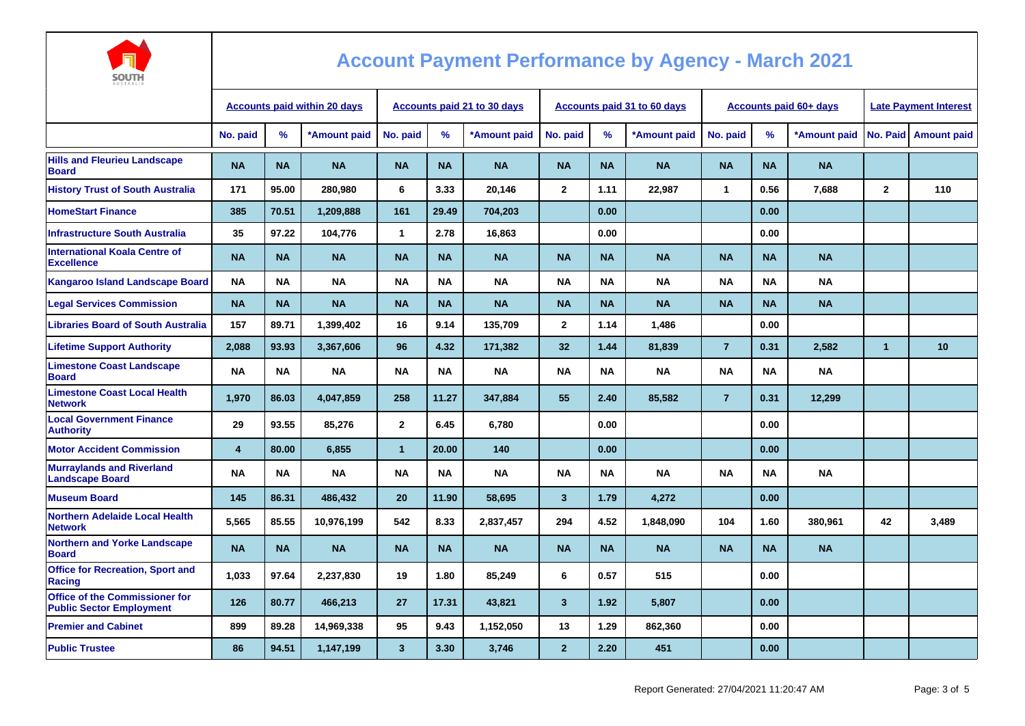

| AUSTRALIA                                                         |                                     |           |              |                                    |           |              |                         |           |                                    |                |                               |                              |              |                      |
|-------------------------------------------------------------------|-------------------------------------|-----------|--------------|------------------------------------|-----------|--------------|-------------------------|-----------|------------------------------------|----------------|-------------------------------|------------------------------|--------------|----------------------|
|                                                                   | <b>Accounts paid within 20 days</b> |           |              | <b>Accounts paid 21 to 30 days</b> |           |              |                         |           | <b>Accounts paid 31 to 60 days</b> |                | <b>Accounts paid 60+ days</b> | <b>Late Payment Interest</b> |              |                      |
|                                                                   | No. paid                            | $\%$      | *Amount paid | No. paid                           | %         | *Amount paid | No. paid                | %         | *Amount paid                       | No. paid       | %                             | *Amount paid                 |              | No. Paid Amount paid |
| <b>Hills and Fleurieu Landscape</b><br><b>Board</b>               | <b>NA</b>                           | <b>NA</b> | <b>NA</b>    | <b>NA</b>                          | <b>NA</b> | <b>NA</b>    | <b>NA</b>               | <b>NA</b> | <b>NA</b>                          | <b>NA</b>      | <b>NA</b>                     | <b>NA</b>                    |              |                      |
| <b>History Trust of South Australia</b>                           | 171                                 | 95.00     | 280,980      | 6                                  | 3.33      | 20,146       | $\mathbf{2}$            | 1.11      | 22,987                             | $\mathbf{1}$   | 0.56                          | 7,688                        | $\mathbf{2}$ | 110                  |
| <b>HomeStart Finance</b>                                          | 385                                 | 70.51     | 1,209,888    | 161                                | 29.49     | 704,203      |                         | 0.00      |                                    |                | 0.00                          |                              |              |                      |
| <b>Infrastructure South Australia</b>                             | 35                                  | 97.22     | 104,776      | $\mathbf{1}$                       | 2.78      | 16,863       |                         | 0.00      |                                    |                | 0.00                          |                              |              |                      |
| <b>International Koala Centre of</b><br><b>Excellence</b>         | <b>NA</b>                           | <b>NA</b> | <b>NA</b>    | <b>NA</b>                          | <b>NA</b> | <b>NA</b>    | <b>NA</b>               | <b>NA</b> | <b>NA</b>                          | <b>NA</b>      | <b>NA</b>                     | <b>NA</b>                    |              |                      |
| <b>Kangaroo Island Landscape Board</b>                            | <b>NA</b>                           | <b>NA</b> | <b>NA</b>    | <b>NA</b>                          | <b>NA</b> | <b>NA</b>    | <b>NA</b>               | <b>NA</b> | <b>NA</b>                          | <b>NA</b>      | <b>NA</b>                     | <b>NA</b>                    |              |                      |
| <b>Legal Services Commission</b>                                  | <b>NA</b>                           | <b>NA</b> | <b>NA</b>    | <b>NA</b>                          | <b>NA</b> | <b>NA</b>    | <b>NA</b>               | <b>NA</b> | <b>NA</b>                          | <b>NA</b>      | <b>NA</b>                     | <b>NA</b>                    |              |                      |
| <b>Libraries Board of South Australia</b>                         | 157                                 | 89.71     | 1.399.402    | 16                                 | 9.14      | 135.709      | $\mathbf{2}$            | 1.14      | 1.486                              |                | 0.00                          |                              |              |                      |
| <b>Lifetime Support Authority</b>                                 | 2,088                               | 93.93     | 3,367,606    | 96                                 | 4.32      | 171,382      | 32 <sub>2</sub>         | 1.44      | 81,839                             | $\overline{7}$ | 0.31                          | 2,582                        | $\mathbf 1$  | 10                   |
| <b>Limestone Coast Landscape</b><br><b>Board</b>                  | <b>NA</b>                           | NA        | <b>NA</b>    | <b>NA</b>                          | ΝA        | <b>NA</b>    | <b>NA</b>               | ΝA        | ΝA                                 | <b>NA</b>      | <b>NA</b>                     | <b>NA</b>                    |              |                      |
| <b>Limestone Coast Local Health</b><br><b>Network</b>             | 1,970                               | 86.03     | 4,047,859    | 258                                | 11.27     | 347,884      | 55                      | 2.40      | 85,582                             | $\overline{7}$ | 0.31                          | 12,299                       |              |                      |
| <b>Local Government Finance</b><br><b>Authority</b>               | 29                                  | 93.55     | 85,276       | $\mathbf{2}$                       | 6.45      | 6,780        |                         | 0.00      |                                    |                | 0.00                          |                              |              |                      |
| <b>Motor Accident Commission</b>                                  | $\overline{\mathbf{4}}$             | 80.00     | 6.855        | $\mathbf{1}$                       | 20.00     | 140          |                         | 0.00      |                                    |                | 0.00                          |                              |              |                      |
| <b>Murraylands and Riverland</b><br><b>Landscape Board</b>        | <b>NA</b>                           | <b>NA</b> | <b>NA</b>    | <b>NA</b>                          | <b>NA</b> | <b>NA</b>    | <b>NA</b>               | <b>NA</b> | <b>NA</b>                          | <b>NA</b>      | <b>NA</b>                     | <b>NA</b>                    |              |                      |
| <b>Museum Board</b>                                               | 145                                 | 86.31     | 486.432      | 20                                 | 11.90     | 58.695       | $\overline{\mathbf{3}}$ | 1.79      | 4,272                              |                | 0.00                          |                              |              |                      |
| <b>Northern Adelaide Local Health</b><br><b>Network</b>           | 5,565                               | 85.55     | 10,976,199   | 542                                | 8.33      | 2,837,457    | 294                     | 4.52      | 1,848,090                          | 104            | 1.60                          | 380,961                      | 42           | 3,489                |
| <b>Northern and Yorke Landscape</b><br><b>Board</b>               | <b>NA</b>                           | <b>NA</b> | <b>NA</b>    | <b>NA</b>                          | <b>NA</b> | <b>NA</b>    | <b>NA</b>               | <b>NA</b> | <b>NA</b>                          | <b>NA</b>      | <b>NA</b>                     | <b>NA</b>                    |              |                      |
| <b>Office for Recreation, Sport and</b><br><b>Racing</b>          | 1,033                               | 97.64     | 2,237,830    | 19                                 | 1.80      | 85,249       | 6                       | 0.57      | 515                                |                | 0.00                          |                              |              |                      |
| Office of the Commissioner for<br><b>Public Sector Employment</b> | 126                                 | 80.77     | 466,213      | 27                                 | 17.31     | 43,821       | $\mathbf{3}$            | 1.92      | 5,807                              |                | 0.00                          |                              |              |                      |
| <b>Premier and Cabinet</b>                                        | 899                                 | 89.28     | 14,969,338   | 95                                 | 9.43      | 1,152,050    | 13                      | 1.29      | 862,360                            |                | 0.00                          |                              |              |                      |
| <b>Public Trustee</b>                                             | 86                                  | 94.51     | 1,147,199    | 3                                  | 3.30      | 3,746        | $\overline{2}$          | 2.20      | 451                                |                | 0.00                          |                              |              |                      |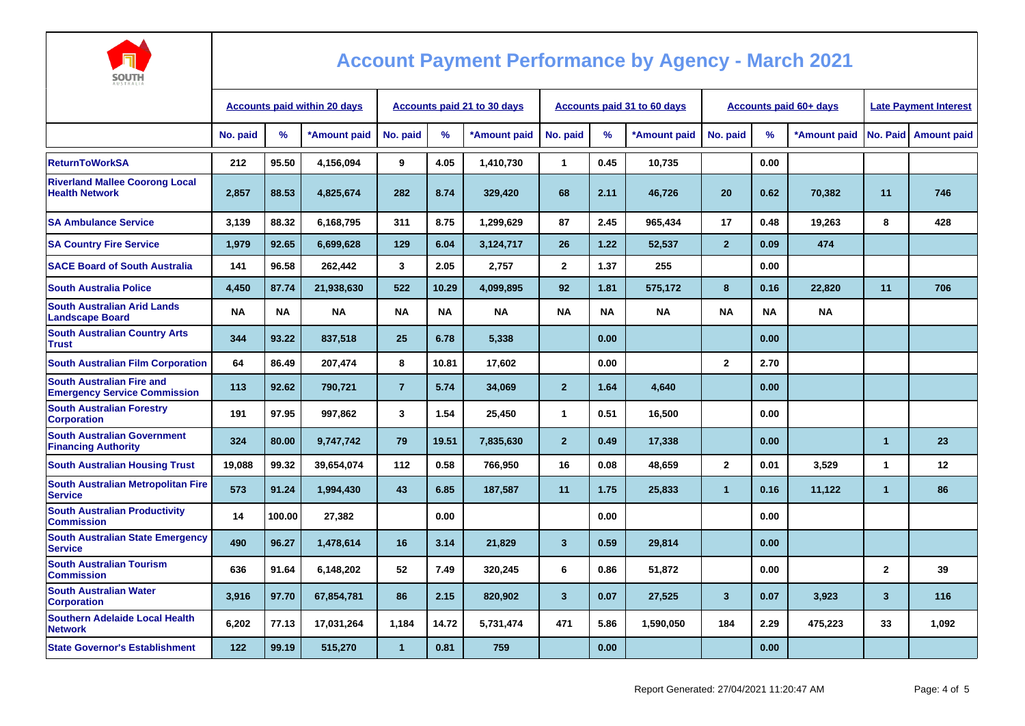

| <b>AUSTRALIA</b>                                                        |                                     |           |              |                             |           |              |                |           |                             |                        |           |              |                              |                        |
|-------------------------------------------------------------------------|-------------------------------------|-----------|--------------|-----------------------------|-----------|--------------|----------------|-----------|-----------------------------|------------------------|-----------|--------------|------------------------------|------------------------|
|                                                                         | <b>Accounts paid within 20 days</b> |           |              | Accounts paid 21 to 30 days |           |              |                |           | Accounts paid 31 to 60 days | Accounts paid 60+ days |           |              | <b>Late Payment Interest</b> |                        |
|                                                                         | No. paid                            | %         | *Amount paid | No. paid                    | %         | *Amount paid | No. paid       | $\%$      | *Amount paid                | No. paid               | $\%$      | *Amount paid |                              | No. Paid   Amount paid |
| <b>ReturnToWorkSA</b>                                                   | 212                                 | 95.50     | 4,156,094    | 9                           | 4.05      | 1,410,730    | $\mathbf{1}$   | 0.45      | 10,735                      |                        | 0.00      |              |                              |                        |
| <b>Riverland Mallee Coorong Local</b><br><b>Health Network</b>          | 2,857                               | 88.53     | 4,825,674    | 282                         | 8.74      | 329,420      | 68             | 2.11      | 46,726                      | 20                     | 0.62      | 70,382       | 11                           | 746                    |
| <b>SA Ambulance Service</b>                                             | 3.139                               | 88.32     | 6.168.795    | 311                         | 8.75      | 1.299.629    | 87             | 2.45      | 965,434                     | 17                     | 0.48      | 19,263       | 8                            | 428                    |
| <b>SA Country Fire Service</b>                                          | 1,979                               | 92.65     | 6,699,628    | 129                         | 6.04      | 3,124,717    | 26             | 1.22      | 52,537                      | $\overline{2}$         | 0.09      | 474          |                              |                        |
| <b>SACE Board of South Australia</b>                                    | 141                                 | 96.58     | 262,442      | 3                           | 2.05      | 2,757        | $\mathbf{2}$   | 1.37      | 255                         |                        | 0.00      |              |                              |                        |
| <b>South Australia Police</b>                                           | 4,450                               | 87.74     | 21,938,630   | 522                         | 10.29     | 4.099.895    | 92             | 1.81      | 575.172                     | 8                      | 0.16      | 22,820       | 11                           | 706                    |
| <b>South Australian Arid Lands</b><br><b>Landscape Board</b>            | <b>NA</b>                           | <b>NA</b> | <b>NA</b>    | <b>NA</b>                   | <b>NA</b> | <b>NA</b>    | <b>NA</b>      | <b>NA</b> | <b>NA</b>                   | <b>NA</b>              | <b>NA</b> | <b>NA</b>    |                              |                        |
| <b>South Australian Country Arts</b><br><b>Trust</b>                    | 344                                 | 93.22     | 837,518      | 25                          | 6.78      | 5,338        |                | 0.00      |                             |                        | 0.00      |              |                              |                        |
| <b>South Australian Film Corporation</b>                                | 64                                  | 86.49     | 207,474      | 8                           | 10.81     | 17,602       |                | 0.00      |                             | $\overline{2}$         | 2.70      |              |                              |                        |
| <b>South Australian Fire and</b><br><b>Emergency Service Commission</b> | 113                                 | 92.62     | 790,721      | $\overline{7}$              | 5.74      | 34,069       | $\overline{2}$ | 1.64      | 4,640                       |                        | 0.00      |              |                              |                        |
| <b>South Australian Forestry</b><br><b>Corporation</b>                  | 191                                 | 97.95     | 997,862      | 3                           | 1.54      | 25,450       | $\mathbf{1}$   | 0.51      | 16,500                      |                        | 0.00      |              |                              |                        |
| <b>South Australian Government</b><br><b>Financing Authority</b>        | 324                                 | 80.00     | 9,747,742    | 79                          | 19.51     | 7,835,630    | $\overline{2}$ | 0.49      | 17,338                      |                        | 0.00      |              | $\overline{1}$               | 23                     |
| <b>South Australian Housing Trust</b>                                   | 19,088                              | 99.32     | 39,654,074   | 112                         | 0.58      | 766,950      | 16             | 0.08      | 48,659                      | $\mathbf{2}$           | 0.01      | 3.529        | $\mathbf{1}$                 | 12                     |
| South Australian Metropolitan Fire<br><b>Service</b>                    | 573                                 | 91.24     | 1,994,430    | 43                          | 6.85      | 187,587      | 11             | 1.75      | 25,833                      | $\mathbf{1}$           | 0.16      | 11,122       | $\blacktriangleleft$         | 86                     |
| <b>South Australian Productivity</b><br><b>Commission</b>               | 14                                  | 100.00    | 27,382       |                             | 0.00      |              |                | 0.00      |                             |                        | 0.00      |              |                              |                        |
| <b>South Australian State Emergency</b><br><b>Service</b>               | 490                                 | 96.27     | 1,478,614    | 16                          | 3.14      | 21,829       | $\mathbf{3}$   | 0.59      | 29,814                      |                        | 0.00      |              |                              |                        |
| <b>South Australian Tourism</b><br><b>Commission</b>                    | 636                                 | 91.64     | 6,148,202    | 52                          | 7.49      | 320,245      | 6              | 0.86      | 51,872                      |                        | 0.00      |              | $\mathbf{2}$                 | 39                     |
| <b>South Australian Water</b><br><b>Corporation</b>                     | 3,916                               | 97.70     | 67,854,781   | 86                          | 2.15      | 820,902      | 3 <sup>2</sup> | 0.07      | 27,525                      | $\overline{3}$         | 0.07      | 3,923        | $\mathbf{3}$                 | 116                    |
| <b>Southern Adelaide Local Health</b><br><b>Network</b>                 | 6.202                               | 77.13     | 17,031,264   | 1,184                       | 14.72     | 5,731,474    | 471            | 5.86      | 1,590,050                   | 184                    | 2.29      | 475,223      | 33                           | 1.092                  |
| <b>State Governor's Establishment</b>                                   | 122                                 | 99.19     | 515,270      | $\blacktriangleleft$        | 0.81      | 759          |                | 0.00      |                             |                        | 0.00      |              |                              |                        |